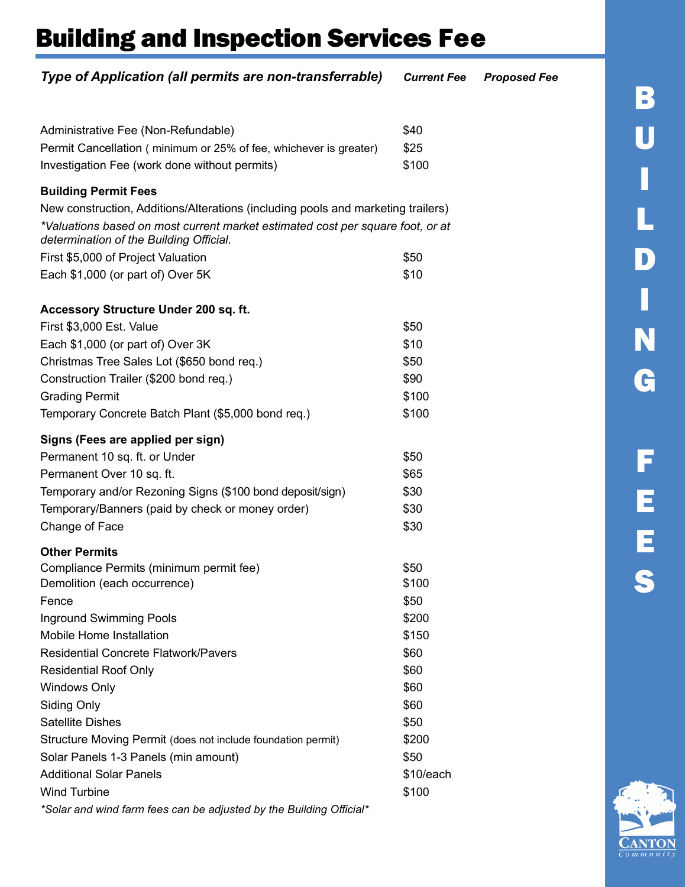| Type of Application (all permits are non-transferrable)                                                                                                                                                       | <b>Current Fee</b> | <b>Proposed Fee</b> |
|---------------------------------------------------------------------------------------------------------------------------------------------------------------------------------------------------------------|--------------------|---------------------|
|                                                                                                                                                                                                               |                    |                     |
| Administrative Fee (Non-Refundable)                                                                                                                                                                           | \$40               |                     |
| Permit Cancellation (minimum or 25% of fee, whichever is greater)                                                                                                                                             | \$25               |                     |
| Investigation Fee (work done without permits)                                                                                                                                                                 | \$100              |                     |
| <b>Building Permit Fees</b>                                                                                                                                                                                   |                    |                     |
| New construction, Additions/Alterations (including pools and marketing trailers)<br>*Valuations based on most current market estimated cost per square foot, or at<br>determination of the Building Official. |                    |                     |
| First \$5,000 of Project Valuation                                                                                                                                                                            | \$50               |                     |
| Each \$1,000 (or part of) Over 5K                                                                                                                                                                             | \$10               |                     |
| Accessory Structure Under 200 sq. ft.                                                                                                                                                                         |                    |                     |
| First \$3,000 Est. Value                                                                                                                                                                                      | \$50               |                     |
| Each \$1,000 (or part of) Over 3K                                                                                                                                                                             | \$10               |                     |
| Christmas Tree Sales Lot (\$650 bond req.)                                                                                                                                                                    | \$50               |                     |
| Construction Trailer (\$200 bond req.)                                                                                                                                                                        | \$90               |                     |
| <b>Grading Permit</b>                                                                                                                                                                                         | \$100              |                     |
| Temporary Concrete Batch Plant (\$5,000 bond req.)                                                                                                                                                            | \$100              |                     |
| Signs (Fees are applied per sign)                                                                                                                                                                             |                    |                     |
| Permanent 10 sq. ft. or Under                                                                                                                                                                                 | \$50               |                     |
| Permanent Over 10 sq. ft.                                                                                                                                                                                     | \$65               |                     |
| Temporary and/or Rezoning Signs (\$100 bond deposit/sign)                                                                                                                                                     | \$30               |                     |
| Temporary/Banners (paid by check or money order)                                                                                                                                                              | \$30               |                     |
| Change of Face                                                                                                                                                                                                | \$30               |                     |
| <b>Other Permits</b>                                                                                                                                                                                          |                    |                     |
| Compliance Permits (minimum permit fee)                                                                                                                                                                       | \$50               |                     |
| Demolition (each occurrence)                                                                                                                                                                                  | \$100              |                     |
| Fence                                                                                                                                                                                                         | \$50               |                     |
| Inground Swimming Pools                                                                                                                                                                                       | \$200              |                     |
| Mobile Home Installation                                                                                                                                                                                      | \$150              |                     |
| <b>Residential Concrete Flatwork/Pavers</b>                                                                                                                                                                   | \$60               |                     |
| <b>Residential Roof Only</b>                                                                                                                                                                                  | \$60               |                     |
| <b>Windows Only</b>                                                                                                                                                                                           | \$60<br>\$60       |                     |
| Siding Only<br><b>Satellite Dishes</b>                                                                                                                                                                        | \$50               |                     |
| Structure Moving Permit (does not include foundation permit)                                                                                                                                                  | \$200              |                     |
| Solar Panels 1-3 Panels (min amount)                                                                                                                                                                          | \$50               |                     |
| <b>Additional Solar Panels</b>                                                                                                                                                                                | \$10/each          |                     |
| <b>Wind Turbine</b>                                                                                                                                                                                           | \$100              |                     |
| *Solar and wind farm fees can be adjusted by the Building Official*                                                                                                                                           |                    |                     |

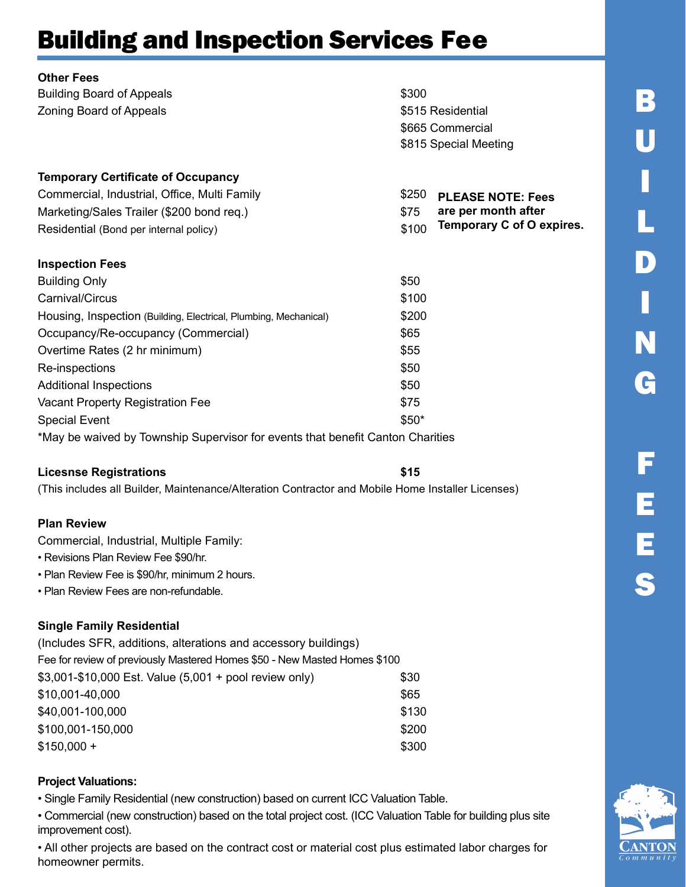| <b>Other Fees</b>                                                |                                    |
|------------------------------------------------------------------|------------------------------------|
| <b>Building Board of Appeals</b>                                 | \$300                              |
| <b>Zoning Board of Appeals</b>                                   | \$515 Residential                  |
|                                                                  | \$665 Commercial                   |
|                                                                  | \$815 Special Meeting              |
| <b>Temporary Certificate of Occupancy</b>                        |                                    |
| Commercial, Industrial, Office, Multi Family                     | \$250<br><b>PLEASE NOTE: Fees</b>  |
| Marketing/Sales Trailer (\$200 bond req.)                        | are per month after<br>\$75        |
| Residential (Bond per internal policy)                           | Temporary C of O expires.<br>\$100 |
| <b>Inspection Fees</b>                                           |                                    |
| <b>Building Only</b>                                             | \$50                               |
| Carnival/Circus                                                  | \$100                              |
| Housing, Inspection (Building, Electrical, Plumbing, Mechanical) | \$200                              |
| Occupancy/Re-occupancy (Commercial)                              | \$65                               |
| Overtime Rates (2 hr minimum)                                    | \$55                               |
| Re-inspections                                                   | \$50                               |
| <b>Additional Inspections</b>                                    | \$50                               |
| Vacant Property Registration Fee                                 | \$75                               |
| <b>Special Event</b>                                             | $$50*$                             |

\*May be waived by Township Supervisor for events that benefit Canton Charities

#### Licesnse Registrations **\$15**

(This includes all Builder, Maintenance/Alteration Contractor and Mobile Home Installer Licenses)

#### Plan Review

Commercial, Industrial, Multiple Family:

- Revisions Plan Review Fee \$90/hr.
- Plan Review Fee is \$90/hr, minimum 2 hours.
- Plan Review Fees are non-refundable.

#### Single Family Residential

| (Includes SFR, additions, alterations and accessory buildings)            |       |
|---------------------------------------------------------------------------|-------|
| Fee for review of previously Mastered Homes \$50 - New Masted Homes \$100 |       |
| \$3,001-\$10,000 Est. Value (5,001 + pool review only)                    | \$30  |
| \$10,001-40,000                                                           | \$65  |
| \$40,001-100,000                                                          | \$130 |
| \$100,001-150,000                                                         | \$200 |
| $$150,000 +$                                                              | \$300 |
|                                                                           |       |

#### Project Valuations:

• Single Family Residential (new construction) based on current ICC Valuation Table.

• Commercial (new construction) based on the total project cost. (ICC Valuation Table for building plus site improvement cost).

• All other projects are based on the contract cost or material cost plus estimated labor charges for homeowner permits.

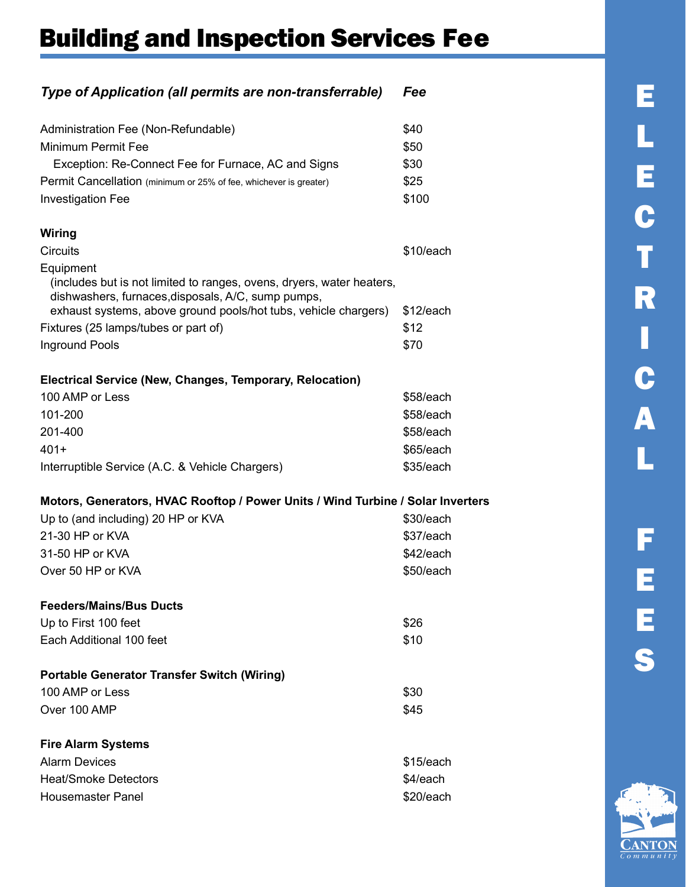#### Type of Application (all permits are non-transferrable) Fee

| Administration Fee (Non-Refundable)<br>\$40                                     |  |
|---------------------------------------------------------------------------------|--|
| <b>Minimum Permit Fee</b><br>\$50                                               |  |
| Exception: Re-Connect Fee for Furnace, AC and Signs<br>\$30                     |  |
| \$25<br>Permit Cancellation (minimum or 25% of fee, whichever is greater)       |  |
| \$100<br><b>Investigation Fee</b>                                               |  |
|                                                                                 |  |
| Wiring                                                                          |  |
| <b>Circuits</b><br>\$10/each                                                    |  |
| Equipment                                                                       |  |
| (includes but is not limited to ranges, ovens, dryers, water heaters,           |  |
| dishwashers, furnaces, disposals, A/C, sump pumps,                              |  |
| exhaust systems, above ground pools/hot tubs, vehicle chargers)<br>\$12/each    |  |
| Fixtures (25 lamps/tubes or part of)<br>\$12                                    |  |
| Inground Pools<br>\$70                                                          |  |
|                                                                                 |  |
| Electrical Service (New, Changes, Temporary, Relocation)                        |  |
| 100 AMP or Less<br>\$58/each                                                    |  |
| 101-200<br>\$58/each                                                            |  |
| 201-400<br>\$58/each                                                            |  |
| $401+$<br>\$65/each                                                             |  |
| \$35/each<br>Interruptible Service (A.C. & Vehicle Chargers)                    |  |
| Motors, Generators, HVAC Rooftop / Power Units / Wind Turbine / Solar Inverters |  |
| Up to (and including) 20 HP or KVA<br>\$30/each                                 |  |
| 21-30 HP or KVA<br>\$37/each                                                    |  |
| \$42/each<br>31-50 HP or KVA                                                    |  |
| Over 50 HP or KVA<br>\$50/each                                                  |  |
|                                                                                 |  |
| <b>Feeders/Mains/Bus Ducts</b>                                                  |  |
| Up to First 100 feet<br>\$26                                                    |  |
| Each Additional 100 feet<br>\$10                                                |  |
|                                                                                 |  |
| <b>Portable Generator Transfer Switch (Wiring)</b>                              |  |
| 100 AMP or Less<br>\$30                                                         |  |
| Over 100 AMP<br>\$45                                                            |  |
| <b>Fire Alarm Systems</b>                                                       |  |
| <b>Alarm Devices</b><br>\$15/each                                               |  |
| <b>Heat/Smoke Detectors</b><br>\$4/each                                         |  |
|                                                                                 |  |

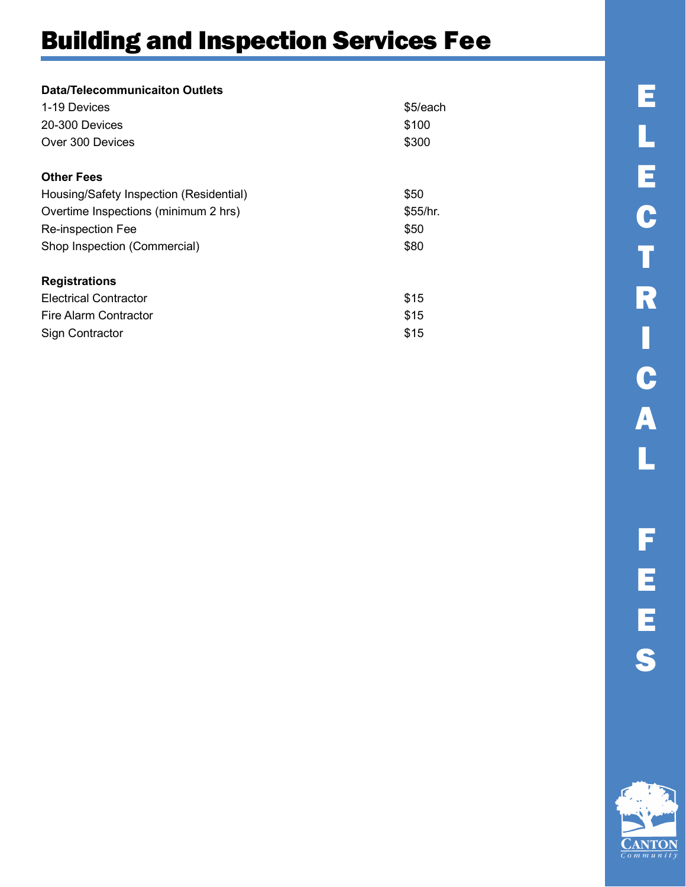| Data/Telecommunicaiton Outlets          |          |
|-----------------------------------------|----------|
| 1-19 Devices                            | \$5/each |
| 20-300 Devices                          | \$100    |
| Over 300 Devices                        | \$300    |
| <b>Other Fees</b>                       |          |
| Housing/Safety Inspection (Residential) | \$50     |
| Overtime Inspections (minimum 2 hrs)    | \$55/hr. |
| <b>Re-inspection Fee</b>                | \$50     |
| Shop Inspection (Commercial)            | \$80     |
| <b>Registrations</b>                    |          |
| <b>Electrical Contractor</b>            | \$15     |
| Fire Alarm Contractor                   | \$15     |
| Sign Contractor                         | \$15     |

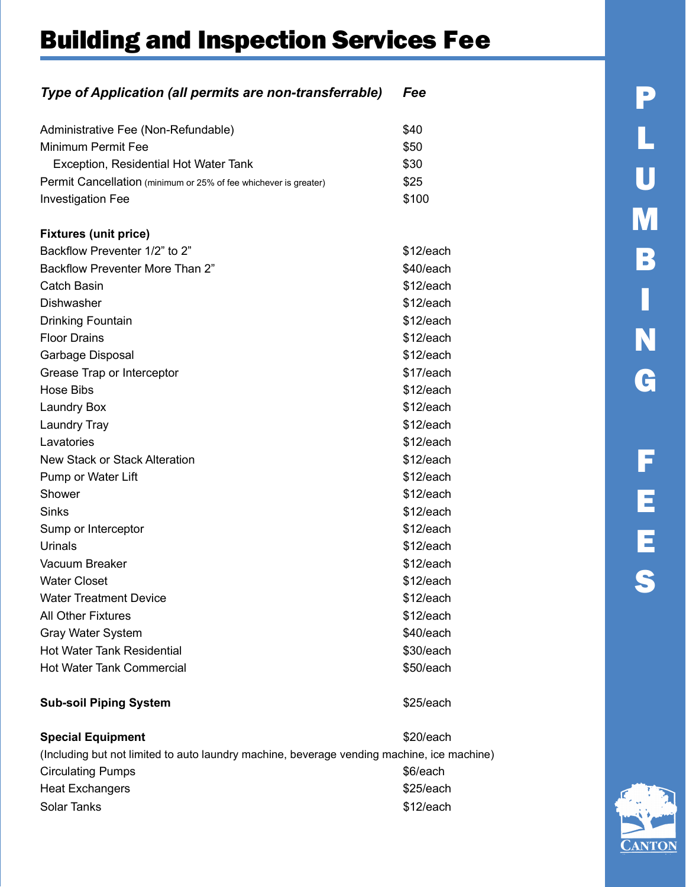#### Type of Application (all permits are non-transferrable) Fee

| Administrative Fee (Non-Refundable)                              | \$40      |
|------------------------------------------------------------------|-----------|
| Minimum Permit Fee                                               | \$50      |
| Exception, Residential Hot Water Tank                            | \$30      |
| Permit Cancellation (minimum or 25% of fee whichever is greater) | \$25      |
| <b>Investigation Fee</b>                                         | \$100     |
|                                                                  |           |
| <b>Fixtures (unit price)</b>                                     |           |
| Backflow Preventer 1/2" to 2"                                    | \$12/each |
| <b>Backflow Preventer More Than 2"</b>                           | \$40/each |
| Catch Basin                                                      | \$12/each |
| Dishwasher                                                       | \$12/each |
| <b>Drinking Fountain</b>                                         | \$12/each |
| <b>Floor Drains</b>                                              | \$12/each |
| Garbage Disposal                                                 | \$12/each |
| Grease Trap or Interceptor                                       | \$17/each |
| Hose Bibs                                                        | \$12/each |
| <b>Laundry Box</b>                                               | \$12/each |
| <b>Laundry Tray</b>                                              | \$12/each |
| Lavatories                                                       | \$12/each |
| New Stack or Stack Alteration                                    | \$12/each |
| Pump or Water Lift                                               | \$12/each |
| Shower                                                           | \$12/each |
| Sinks                                                            | \$12/each |
| Sump or Interceptor                                              | \$12/each |
| Urinals                                                          | \$12/each |
| Vacuum Breaker                                                   | \$12/each |
| <b>Water Closet</b>                                              | \$12/each |
| <b>Water Treatment Device</b>                                    | \$12/each |
| <b>All Other Fixtures</b>                                        | \$12/each |
| <b>Gray Water System</b>                                         | \$40/each |
| <b>Hot Water Tank Residential</b>                                | \$30/each |
| <b>Hot Water Tank Commercial</b>                                 | \$50/each |
|                                                                  |           |

#### Sub-soil Piping System **\$25/each**

Special Equipment \$20/each (Including but not limited to auto laundry machine, beverage vending machine, ice machine) Circulating Pumps **\$6/each** Heat Exchangers **\$25/each** Solar Tanks **\$12/each** 

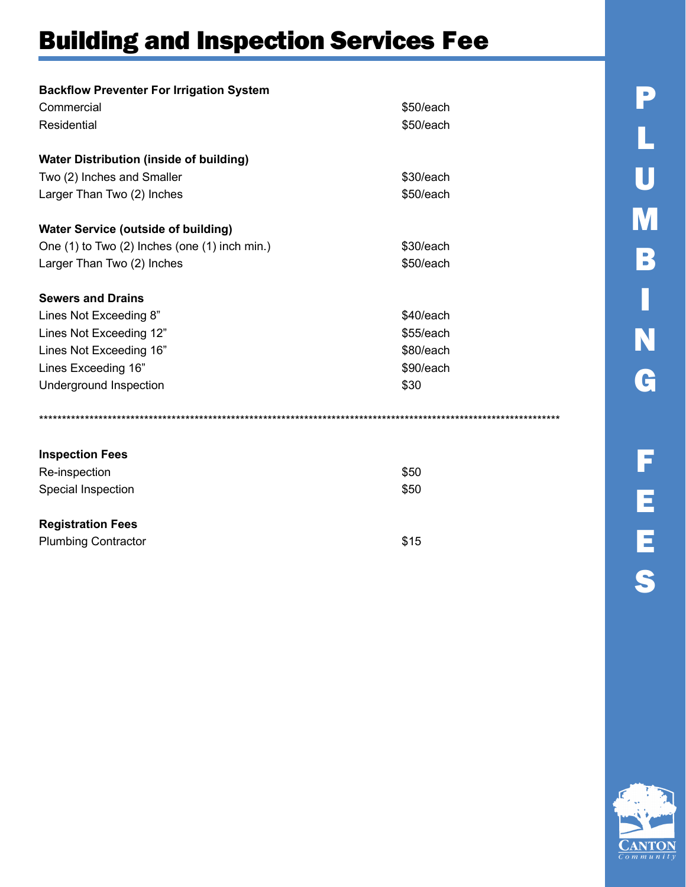| <b>Backflow Preventer For Irrigation System</b> |           |
|-------------------------------------------------|-----------|
| Commercial                                      | \$50/each |
| Residential                                     | \$50/each |
| <b>Water Distribution (inside of building)</b>  |           |
| Two (2) Inches and Smaller                      | \$30/each |
| Larger Than Two (2) Inches                      | \$50/each |
| <b>Water Service (outside of building)</b>      |           |
| One (1) to Two (2) Inches (one (1) inch min.)   | \$30/each |
| Larger Than Two (2) Inches                      | \$50/each |
| <b>Sewers and Drains</b>                        |           |
| Lines Not Exceeding 8"                          | \$40/each |
| Lines Not Exceeding 12"                         | \$55/each |
| Lines Not Exceeding 16"                         | \$80/each |
| Lines Exceeding 16"                             | \$90/each |
| Underground Inspection                          | \$30      |
|                                                 |           |
| <b>Inspection Fees</b>                          |           |
| Re-inspection                                   | \$50      |
| Special Inspection                              | \$50      |

 $$15$ 

#### **Registration Fees**

| <b>Plumbing Contractor</b> |  |
|----------------------------|--|
|----------------------------|--|

P L U M B Π N G F EES

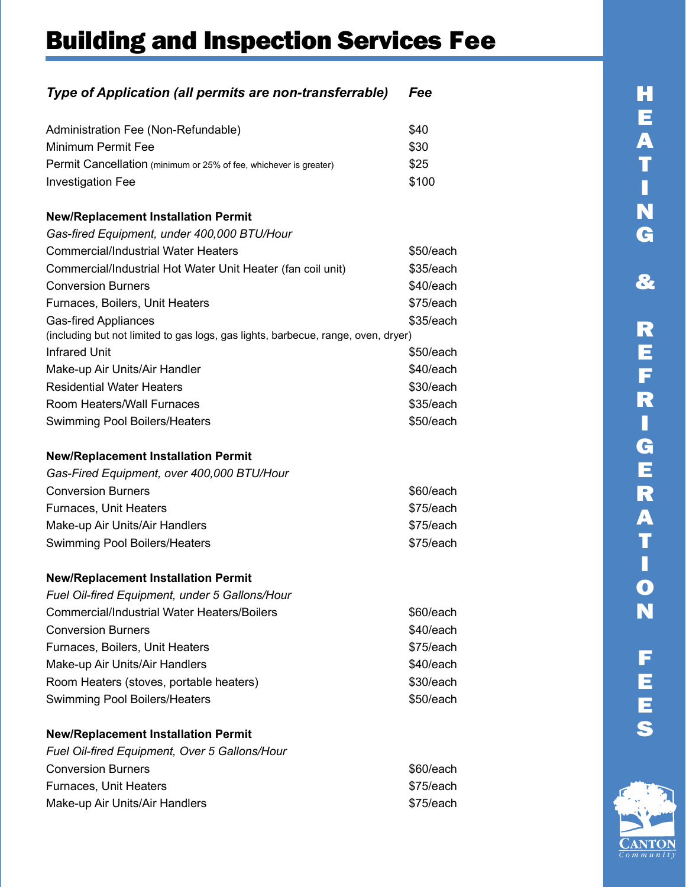### Type of Application (all permits are non-transferrable) Fee Administration Fee (Non-Refundable)  $$40$

| Aditions about education examples                                                 | Ψπ∪       |
|-----------------------------------------------------------------------------------|-----------|
| <b>Minimum Permit Fee</b>                                                         | \$30      |
| Permit Cancellation (minimum or 25% of fee, whichever is greater)                 | \$25      |
| <b>Investigation Fee</b>                                                          | \$100     |
|                                                                                   |           |
| <b>New/Replacement Installation Permit</b>                                        |           |
| Gas-fired Equipment, under 400,000 BTU/Hour                                       |           |
| <b>Commercial/Industrial Water Heaters</b>                                        | \$50/each |
| Commercial/Industrial Hot Water Unit Heater (fan coil unit)                       | \$35/each |
| <b>Conversion Burners</b>                                                         | \$40/each |
| Furnaces, Boilers, Unit Heaters                                                   | \$75/each |
| <b>Gas-fired Appliances</b>                                                       | \$35/each |
| (including but not limited to gas logs, gas lights, barbecue, range, oven, dryer) |           |
| <b>Infrared Unit</b>                                                              | \$50/each |
| Make-up Air Units/Air Handler                                                     | \$40/each |
| <b>Residential Water Heaters</b>                                                  | \$30/each |
| Room Heaters/Wall Furnaces                                                        | \$35/each |
| <b>Swimming Pool Boilers/Heaters</b>                                              | \$50/each |
|                                                                                   |           |
| <b>New/Replacement Installation Permit</b>                                        |           |
| Gas-Fired Equipment, over 400,000 BTU/Hour                                        |           |
| <b>Conversion Burners</b>                                                         | \$60/each |
| Furnaces, Unit Heaters                                                            | \$75/each |
| Make-up Air Units/Air Handlers                                                    | \$75/each |
| <b>Swimming Pool Boilers/Heaters</b>                                              | \$75/each |
|                                                                                   |           |
| <b>New/Replacement Installation Permit</b>                                        |           |
| Fuel Oil-fired Equipment, under 5 Gallons/Hour                                    |           |
| <b>Commercial/Industrial Water Heaters/Boilers</b>                                | \$60/each |
| <b>Conversion Burners</b>                                                         | \$40/each |
| Furnaces, Boilers, Unit Heaters                                                   | \$75/each |
| Make-up Air Units/Air Handlers                                                    | \$40/each |
| Room Heaters (stoves, portable heaters)                                           | \$30/each |
| <b>Swimming Pool Boilers/Heaters</b>                                              | \$50/each |
|                                                                                   |           |
| <b>New/Replacement Installation Permit</b>                                        |           |

| Fuel Oil-fired Equipment, Over 5 Gallons/Hour |           |
|-----------------------------------------------|-----------|
| <b>Conversion Burners</b>                     | \$60/each |
| Furnaces, Unit Heaters                        | \$75/each |
| Make-up Air Units/Air Handlers                | \$75/each |
|                                               |           |

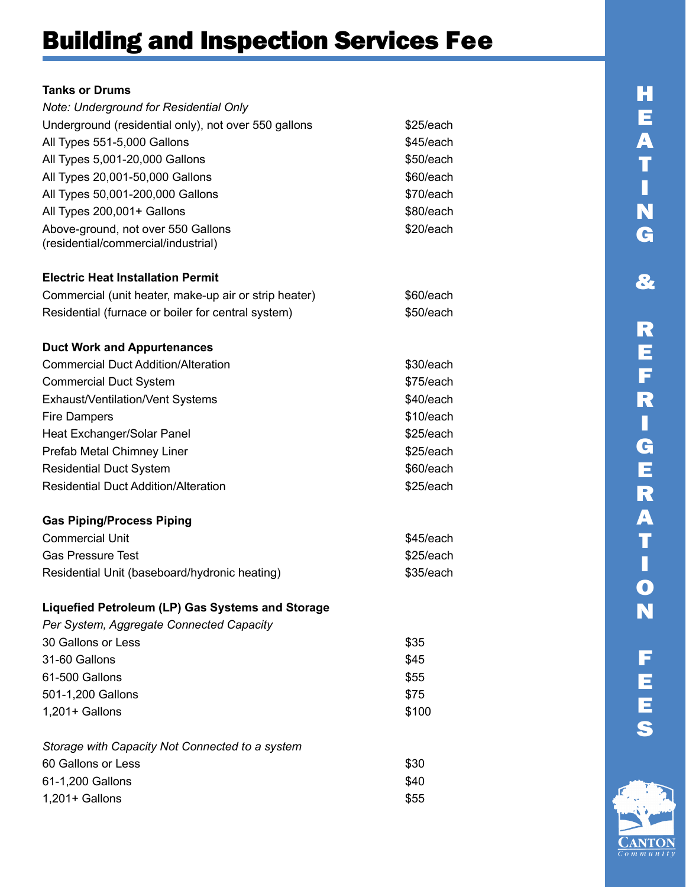#### Tanks or Drums

| Note: Underground for Residential Only                                    |           |
|---------------------------------------------------------------------------|-----------|
| Underground (residential only), not over 550 gallons                      | \$25/each |
| All Types 551-5,000 Gallons                                               | \$45/each |
| All Types 5,001-20,000 Gallons                                            | \$50/each |
| All Types 20,001-50,000 Gallons                                           | \$60/each |
| All Types 50,001-200,000 Gallons                                          | \$70/each |
| All Types 200,001+ Gallons                                                | \$80/each |
| Above-ground, not over 550 Gallons<br>(residential/commercial/industrial) | \$20/each |
| <b>Electric Heat Installation Permit</b>                                  |           |
| Commercial (unit heater, make-up air or strip heater)                     | \$60/each |
| Residential (furnace or boiler for central system)                        | \$50/each |
| <b>Duct Work and Appurtenances</b>                                        |           |
| <b>Commercial Duct Addition/Alteration</b>                                | \$30/each |
| <b>Commercial Duct System</b>                                             | \$75/each |
| Exhaust/Ventilation/Vent Systems                                          | \$40/each |
| <b>Fire Dampers</b>                                                       | \$10/each |
| Heat Exchanger/Solar Panel                                                | \$25/each |
| Prefab Metal Chimney Liner                                                | \$25/each |
| <b>Residential Duct System</b>                                            | \$60/each |
| <b>Residential Duct Addition/Alteration</b>                               | \$25/each |
| <b>Gas Piping/Process Piping</b>                                          |           |
| <b>Commercial Unit</b>                                                    | \$45/each |
| <b>Gas Pressure Test</b>                                                  | \$25/each |
| Residential Unit (baseboard/hydronic heating)                             | \$35/each |
| Liquefied Petroleum (LP) Gas Systems and Storage                          |           |
| Per System, Aggregate Connected Capacity                                  |           |
| 30 Gallons or Less                                                        | \$35      |
| 31-60 Gallons                                                             | \$45      |
| 61-500 Gallons                                                            | \$55      |
| 501-1,200 Gallons                                                         | \$75      |
| 1,201+ Gallons                                                            | \$100     |

Storage with Capacity Not Connected to a system 60 Gallons or Less \$30 61-1,200 Gallons \$40 1,201+ Gallons \$55

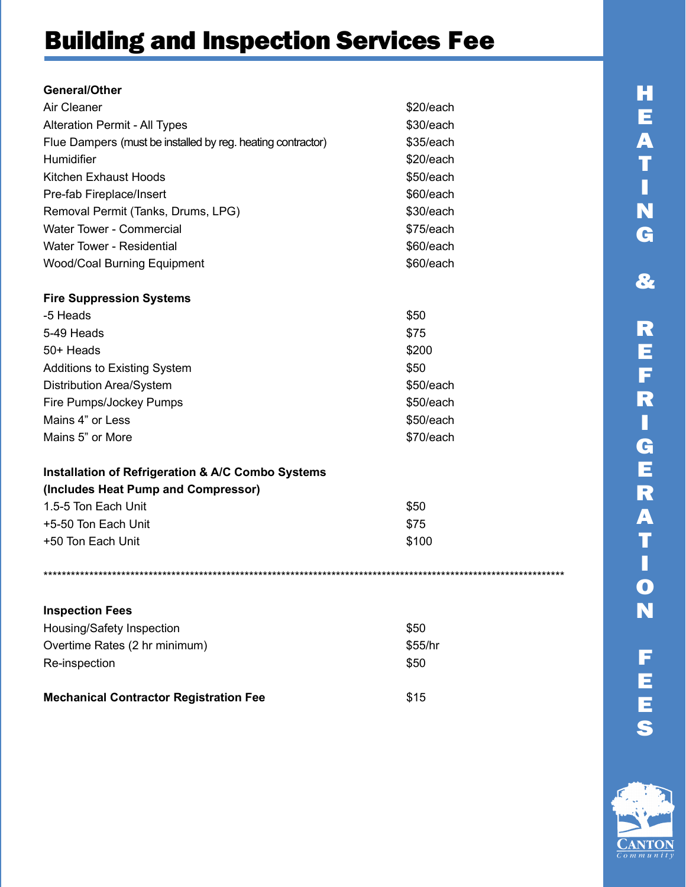| General/Other                                               |           |
|-------------------------------------------------------------|-----------|
| Air Cleaner                                                 | \$20/each |
| Alteration Permit - All Types                               | \$30/each |
| Flue Dampers (must be installed by reg. heating contractor) | \$35/each |
| Humidifier                                                  | \$20/each |
| Kitchen Exhaust Hoods                                       | \$50/each |
| Pre-fab Fireplace/Insert                                    | \$60/each |
| Removal Permit (Tanks, Drums, LPG)                          | \$30/each |
| <b>Water Tower - Commercial</b>                             | \$75/each |
| Water Tower - Residential                                   | \$60/each |
| <b>Wood/Coal Burning Equipment</b>                          | \$60/each |
| <b>Fire Suppression Systems</b>                             |           |
| -5 Heads                                                    | \$50      |
| 5-49 Heads                                                  | \$75      |
| 50+ Heads                                                   | \$200     |
| <b>Additions to Existing System</b>                         | \$50      |
| <b>Distribution Area/System</b>                             | \$50/each |
| Fire Pumps/Jockey Pumps                                     | \$50/each |
| Mains 4" or Less                                            | \$50/each |

| 5-49 Heads                          | \$75      |
|-------------------------------------|-----------|
| 50+ Heads                           | \$200     |
| <b>Additions to Existing System</b> | \$50      |
| <b>Distribution Area/System</b>     | \$50/each |
| Fire Pumps/Jockey Pumps             | \$50/each |
| Mains 4" or Less                    | \$50/each |
| Mains 5" or More                    | \$70/each |

### **Installation of Refrigeration & A/C Combo Systems**

| (Includes Heat Pump and Compressor) |       |
|-------------------------------------|-------|
| 1.5-5 Ton Each Unit                 | \$50  |
| +5-50 Ton Each Unit                 | \$75  |
| +50 Ton Each Unit                   | \$100 |
|                                     |       |

| <b>Inspection Fees</b>                        |         |
|-----------------------------------------------|---------|
| Housing/Safety Inspection                     | \$50    |
| Overtime Rates (2 hr minimum)                 | \$55/hr |
| Re-inspection                                 | \$50    |
|                                               |         |
| <b>Mechanical Contractor Registration Fee</b> | \$15    |